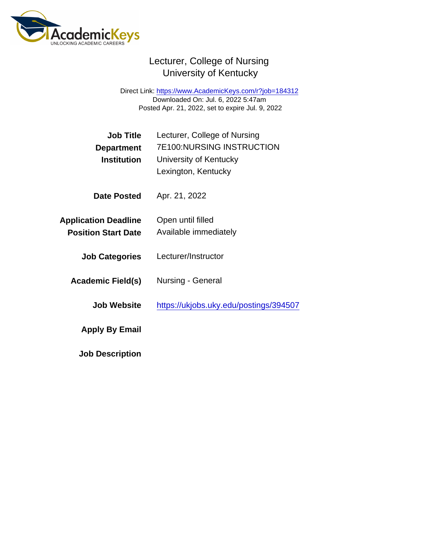## Lecturer, College of Nursing University of Kentucky

Direct Link: <https://www.AcademicKeys.com/r?job=184312> Downloaded On: Jul. 6, 2022 5:47am Posted Apr. 21, 2022, set to expire Jul. 9, 2022

| Job Title<br>Department<br><b>Institution</b>             | Lecturer, College of Nursing<br><b>7E100:NURSING INSTRUCTION</b><br>University of Kentucky<br>Lexington, Kentucky |
|-----------------------------------------------------------|-------------------------------------------------------------------------------------------------------------------|
| Date Posted                                               | Apr. 21, 2022                                                                                                     |
| <b>Application Deadline</b><br><b>Position Start Date</b> | Open until filled<br>Available immediately                                                                        |
| <b>Job Categories</b>                                     | Lecturer/Instructor                                                                                               |
| Academic Field(s)                                         | Nursing - General                                                                                                 |
| Job Website                                               | https://ukjobs.uky.edu/postings/394507                                                                            |
| Apply By Email                                            |                                                                                                                   |
| <b>Job Description</b>                                    |                                                                                                                   |